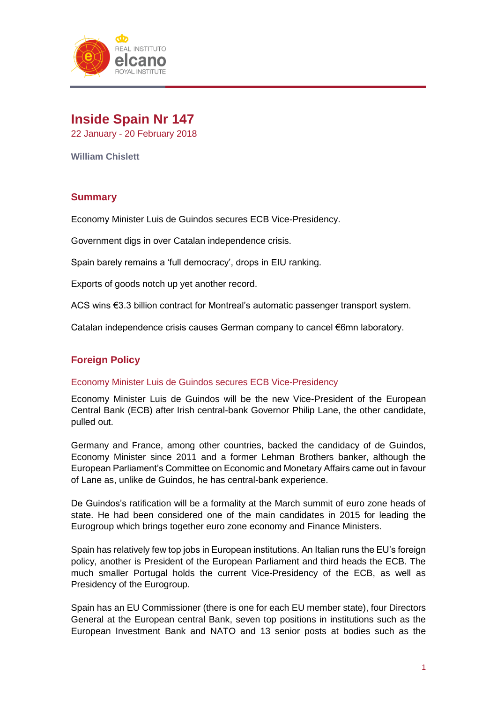

# **Inside Spain Nr 147** 22 January - 20 February 2018

**William Chislett**

## **Summary**

Economy Minister Luis de Guindos secures ECB Vice-Presidency.

Government digs in over Catalan independence crisis.

Spain barely remains a 'full democracy', drops in EIU ranking.

Exports of goods notch up yet another record.

ACS wins €3.3 billion contract for Montreal's automatic passenger transport system.

Catalan independence crisis causes German company to cancel €6mn laboratory.

## **Foreign Policy**

#### Economy Minister Luis de Guindos secures ECB Vice-Presidency

Economy Minister Luis de Guindos will be the new Vice-President of the European Central Bank (ECB) after Irish central-bank Governor Philip Lane, the other candidate, pulled out.

Germany and France, among other countries, backed the candidacy of de Guindos, Economy Minister since 2011 and a former Lehman Brothers banker, although the European Parliament's Committee on Economic and Monetary Affairs came out in favour of Lane as, unlike de Guindos, he has central-bank experience.

De Guindos's ratification will be a formality at the March summit of euro zone heads of state. He had been considered one of the main candidates in 2015 for leading the Eurogroup which brings together euro zone economy and Finance Ministers.

Spain has relatively few top jobs in European institutions. An Italian runs the EU's foreign policy, another is President of the European Parliament and third heads the ECB. The much smaller Portugal holds the current Vice-Presidency of the ECB, as well as Presidency of the Eurogroup.

Spain has an EU Commissioner (there is one for each EU member state), four Directors General at the European central Bank, seven top positions in institutions such as the European Investment Bank and NATO and 13 senior posts at bodies such as the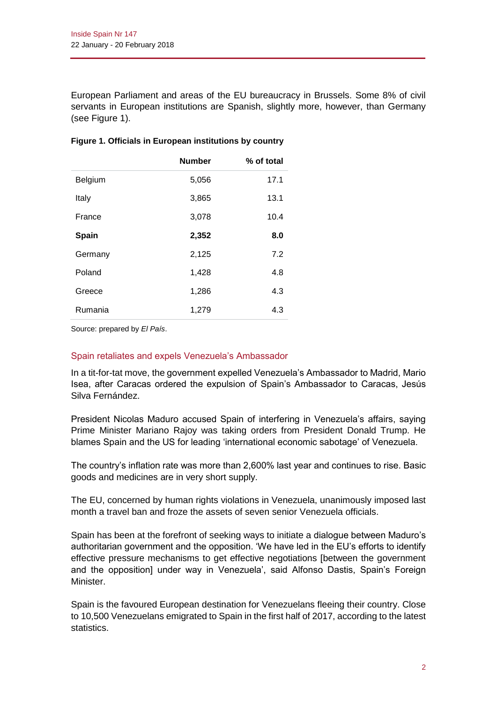European Parliament and areas of the EU bureaucracy in Brussels. Some 8% of civil servants in European institutions are Spanish, slightly more, however, than Germany (see Figure 1).

|         | <b>Number</b> | % of total |
|---------|---------------|------------|
| Belgium | 5,056         | 17.1       |
| Italy   | 3,865         | 13.1       |
| France  | 3,078         | 10.4       |
| Spain   | 2,352         | 8.0        |
| Germany | 2,125         | 7.2        |
| Poland  | 1,428         | 4.8        |
| Greece  | 1,286         | 4.3        |
| Rumania | 1,279         | 4.3        |

### **Figure 1. Officials in European institutions by country**

Source: prepared by *El País*.

### Spain retaliates and expels Venezuela's Ambassador

In a tit-for-tat move, the government expelled Venezuela's Ambassador to Madrid, Mario Isea, after Caracas ordered the expulsion of Spain's Ambassador to Caracas, Jesús Silva Fernández.

President Nicolas Maduro accused Spain of interfering in Venezuela's affairs, saying Prime Minister Mariano Rajoy was taking orders from President Donald Trump. He blames Spain and the US for leading 'international economic sabotage' of Venezuela.

The country's inflation rate was more than 2,600% last year and continues to rise. Basic goods and medicines are in very short supply.

The EU, concerned by human rights violations in Venezuela, unanimously imposed last month a travel ban and froze the assets of seven senior Venezuela officials.

Spain has been at the forefront of seeking ways to initiate a dialogue between Maduro's authoritarian government and the opposition. 'We have led in the EU's efforts to identify effective pressure mechanisms to get effective negotiations [between the government and the opposition] under way in Venezuela', said Alfonso Dastis, Spain's Foreign Minister.

Spain is the favoured European destination for Venezuelans fleeing their country. Close to 10,500 Venezuelans emigrated to Spain in the first half of 2017, according to the latest statistics.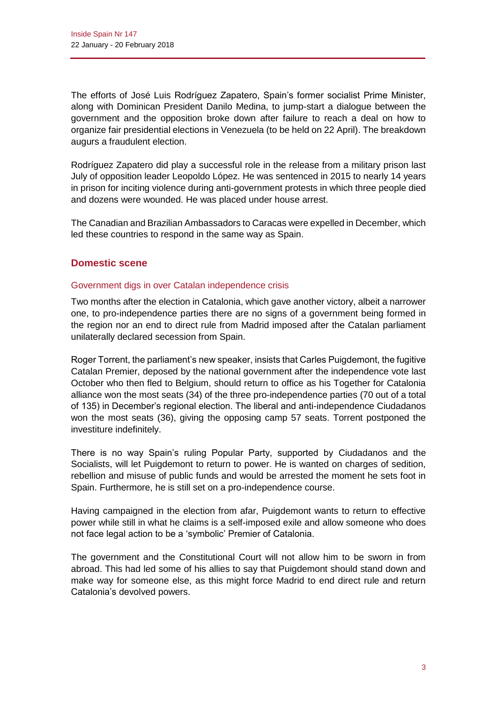The efforts of José Luis Rodríguez Zapatero, Spain's former socialist Prime Minister, along with Dominican President Danilo Medina, to jump-start a dialogue between the government and the opposition broke down after failure to reach a deal on how to organize fair presidential elections in Venezuela (to be held on 22 April). The breakdown augurs a fraudulent election.

Rodríguez Zapatero did play a successful role in the release from a military prison last July of opposition leader Leopoldo López. He was sentenced in 2015 to nearly 14 years in prison for inciting violence during anti-government protests in which three people died and dozens were wounded. He was placed under house arrest.

The Canadian and Brazilian Ambassadors to Caracas were expelled in December, which led these countries to respond in the same way as Spain.

## **Domestic scene**

### Government digs in over Catalan independence crisis

Two months after the election in Catalonia, which gave another victory, albeit a narrower one, to pro-independence parties there are no signs of a government being formed in the region nor an end to direct rule from Madrid imposed after the Catalan parliament unilaterally declared secession from Spain.

Roger Torrent, the parliament's new speaker, insists that Carles Puigdemont, the fugitive Catalan Premier, deposed by the national government after the independence vote last October who then fled to Belgium, should return to office as his Together for Catalonia alliance won the most seats (34) of the three pro-independence parties (70 out of a total of 135) in December's regional election. The liberal and anti-independence Ciudadanos won the most seats (36), giving the opposing camp 57 seats. Torrent postponed the investiture indefinitely.

There is no way Spain's ruling Popular Party, supported by Ciudadanos and the Socialists, will let Puigdemont to return to power. He is wanted on charges of sedition, rebellion and misuse of public funds and would be arrested the moment he sets foot in Spain. Furthermore, he is still set on a pro-independence course.

Having campaigned in the election from afar, Puigdemont wants to return to effective power while still in what he claims is a self-imposed exile and allow someone who does not face legal action to be a 'symbolic' Premier of Catalonia.

The government and the Constitutional Court will not allow him to be sworn in from abroad. This had led some of his allies to say that Puigdemont should stand down and make way for someone else, as this might force Madrid to end direct rule and return Catalonia's devolved powers.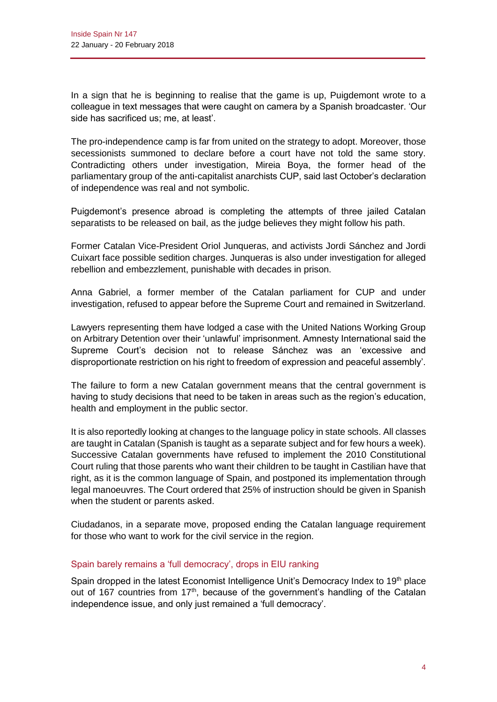In a sign that he is beginning to realise that the game is up, Puigdemont wrote to a colleague in text messages that were caught on camera by a Spanish broadcaster. 'Our side has sacrificed us; me, at least'.

The pro-independence camp is far from united on the strategy to adopt. Moreover, those secessionists summoned to declare before a court have not told the same story. Contradicting others under investigation, Mireia Boya, the former head of the parliamentary group of the anti-capitalist anarchists CUP, said last October's declaration of independence was real and not symbolic.

Puigdemont's presence abroad is completing the attempts of three jailed Catalan separatists to be released on bail, as the judge believes they might follow his path.

Former Catalan Vice-President Oriol Junqueras, and activists Jordi Sánchez and Jordi Cuixart face possible sedition charges. Junqueras is also under investigation for alleged rebellion and embezzlement, punishable with decades in prison.

Anna Gabriel, a former member of the Catalan parliament for CUP and under investigation, refused to appear before the Supreme Court and remained in Switzerland.

Lawyers representing them have lodged a case with the United Nations Working Group on Arbitrary Detention over their 'unlawful' imprisonment. Amnesty International said the Supreme Court's decision not to release Sánchez was an 'excessive and disproportionate restriction on his right to freedom of expression and peaceful assembly'.

The failure to form a new Catalan government means that the central government is having to study decisions that need to be taken in areas such as the region's education, health and employment in the public sector.

It is also reportedly looking at changes to the language policy in state schools. All classes are taught in Catalan (Spanish is taught as a separate subject and for few hours a week). Successive Catalan governments have refused to implement the 2010 Constitutional Court ruling that those parents who want their children to be taught in Castilian have that right, as it is the common language of Spain, and postponed its implementation through legal manoeuvres. The Court ordered that 25% of instruction should be given in Spanish when the student or parents asked.

Ciudadanos, in a separate move, proposed ending the Catalan language requirement for those who want to work for the civil service in the region.

### Spain barely remains a 'full democracy', drops in EIU ranking

Spain dropped in the latest Economist Intelligence Unit's Democracy Index to 19<sup>th</sup> place out of 167 countries from 17<sup>th</sup>, because of the government's handling of the Catalan independence issue, and only just remained a 'full democracy'.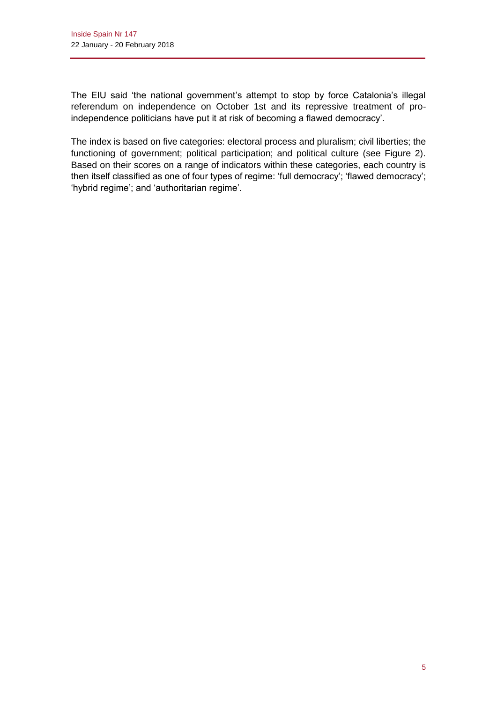The EIU said 'the national government's attempt to stop by force Catalonia's illegal referendum on independence on October 1st and its repressive treatment of proindependence politicians have put it at risk of becoming a flawed democracy'.

The index is based on five categories: electoral process and pluralism; civil liberties; the functioning of government; political participation; and political culture (see Figure 2). Based on their scores on a range of indicators within these categories, each country is then itself classified as one of four types of regime: 'full democracy'; 'flawed democracy'; 'hybrid regime'; and 'authoritarian regime'.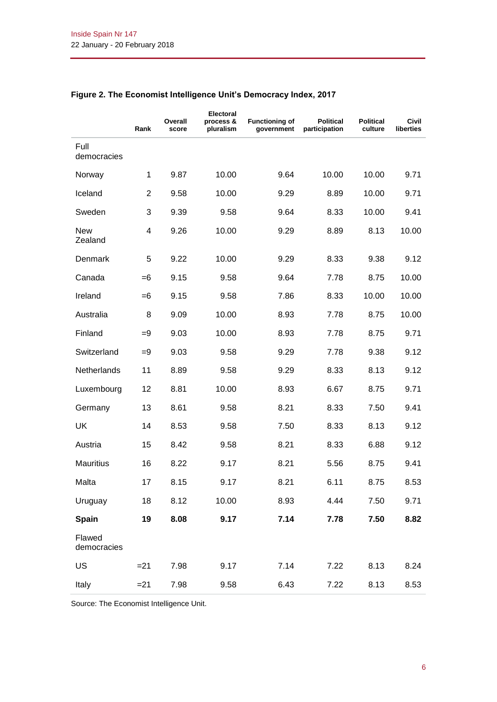|                       | Rank           | Overall<br>score | Electoral<br>process &<br>pluralism | <b>Functioning of</b><br>government | <b>Political</b><br>participation | <b>Political</b><br>culture | Civil<br>liberties |
|-----------------------|----------------|------------------|-------------------------------------|-------------------------------------|-----------------------------------|-----------------------------|--------------------|
| Full<br>democracies   |                |                  |                                     |                                     |                                   |                             |                    |
| Norway                | $\mathbf{1}$   | 9.87             | 10.00                               | 9.64                                | 10.00                             | 10.00                       | 9.71               |
| Iceland               | $\overline{2}$ | 9.58             | 10.00                               | 9.29                                | 8.89                              | 10.00                       | 9.71               |
| Sweden                | 3              | 9.39             | 9.58                                | 9.64                                | 8.33                              | 10.00                       | 9.41               |
| <b>New</b><br>Zealand | 4              | 9.26             | 10.00                               | 9.29                                | 8.89                              | 8.13                        | 10.00              |
| Denmark               | 5              | 9.22             | 10.00                               | 9.29                                | 8.33                              | 9.38                        | 9.12               |
| Canada                | $=6$           | 9.15             | 9.58                                | 9.64                                | 7.78                              | 8.75                        | 10.00              |
| Ireland               | $=6$           | 9.15             | 9.58                                | 7.86                                | 8.33                              | 10.00                       | 10.00              |
| Australia             | 8              | 9.09             | 10.00                               | 8.93                                | 7.78                              | 8.75                        | 10.00              |
| Finland               | $=9$           | 9.03             | 10.00                               | 8.93                                | 7.78                              | 8.75                        | 9.71               |
| Switzerland           | $=9$           | 9.03             | 9.58                                | 9.29                                | 7.78                              | 9.38                        | 9.12               |
| Netherlands           | 11             | 8.89             | 9.58                                | 9.29                                | 8.33                              | 8.13                        | 9.12               |
| Luxembourg            | 12             | 8.81             | 10.00                               | 8.93                                | 6.67                              | 8.75                        | 9.71               |
| Germany               | 13             | 8.61             | 9.58                                | 8.21                                | 8.33                              | 7.50                        | 9.41               |
| UK                    | 14             | 8.53             | 9.58                                | 7.50                                | 8.33                              | 8.13                        | 9.12               |
| Austria               | 15             | 8.42             | 9.58                                | 8.21                                | 8.33                              | 6.88                        | 9.12               |
| <b>Mauritius</b>      | 16             | 8.22             | 9.17                                | 8.21                                | 5.56                              | 8.75                        | 9.41               |
| Malta                 | 17             | 8.15             | 9.17                                | 8.21                                | 6.11                              | 8.75                        | 8.53               |
| Uruguay               | 18             | 8.12             | 10.00                               | 8.93                                | 4.44                              | 7.50                        | 9.71               |
| Spain                 | 19             | 8.08             | 9.17                                | 7.14                                | 7.78                              | 7.50                        | 8.82               |
| Flawed<br>democracies |                |                  |                                     |                                     |                                   |                             |                    |
| US                    | $= 21$         | 7.98             | 9.17                                | 7.14                                | 7.22                              | 8.13                        | 8.24               |
| Italy                 | $= 21$         | 7.98             | 9.58                                | 6.43                                | 7.22                              | 8.13                        | 8.53               |

## **Figure 2. The Economist Intelligence Unit's Democracy Index, 2017**

Source: The Economist Intelligence Unit.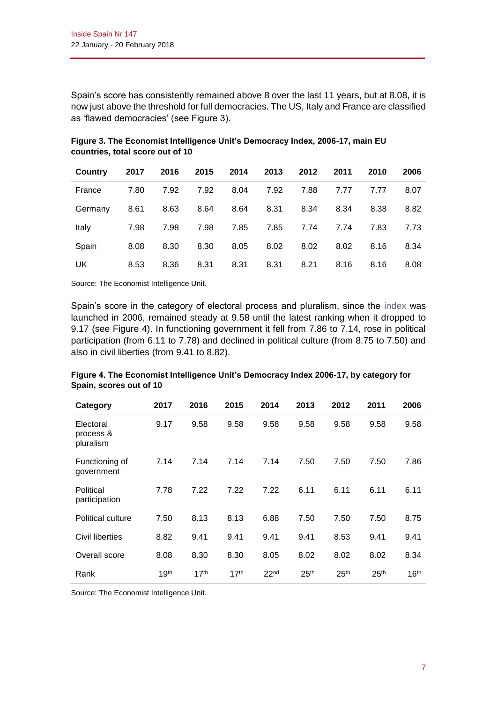Spain's score has consistently remained above 8 over the last 11 years, but at 8.08, it is now just above the threshold for full democracies. The US, Italy and France are classified as 'flawed democracies' (see Figure 3).

| <b>Country</b> | 2017 | 2016 | 2015 | 2014 | 2013 | 2012 | 2011 | 2010 | 2006 |
|----------------|------|------|------|------|------|------|------|------|------|
| France         | 7.80 | 7.92 | 7.92 | 8.04 | 7.92 | 7.88 | 7.77 | 7.77 | 8.07 |
| Germany        | 8.61 | 8.63 | 8.64 | 8.64 | 8.31 | 8.34 | 8.34 | 8.38 | 8.82 |
| Italy          | 7.98 | 7.98 | 7.98 | 7.85 | 7.85 | 7.74 | 7.74 | 7.83 | 7.73 |
| Spain          | 8.08 | 8.30 | 8.30 | 8.05 | 8.02 | 8.02 | 8.02 | 8.16 | 8.34 |
| UK             | 8.53 | 8.36 | 8.31 | 8.31 | 8.31 | 8.21 | 8.16 | 8.16 | 8.08 |

**Figure 3. The Economist Intelligence Unit's Democracy Index, 2006-17, main EU countries, total score out of 10**

Source: The Economist Intelligence Unit.

Spain's score in the category of electoral process and pluralism, since the [index](https://www.eiu.com/public/topical_report.aspx?campaignid=DemocracyIndex2017) was launched in 2006, remained steady at 9.58 until the latest ranking when it dropped to 9.17 (see Figure 4). In functioning government it fell from 7.86 to 7.14, rose in political participation (from 6.11 to 7.78) and declined in political culture (from 8.75 to 7.50) and also in civil liberties (from 9.41 to 8.82).

| Category                            | 2017             | 2016             | 2015             | 2014             | 2013             | 2012             | 2011             | 2006             |
|-------------------------------------|------------------|------------------|------------------|------------------|------------------|------------------|------------------|------------------|
| Electoral<br>process &<br>pluralism | 9.17             | 9.58             | 9.58             | 9.58             | 9.58             | 9.58             | 9.58             | 9.58             |
| Functioning of<br>government        | 7.14             | 7.14             | 7.14             | 7.14             | 7.50             | 7.50             | 7.50             | 7.86             |
| Political<br>participation          | 7.78             | 7.22             | 7.22             | 7.22             | 6.11             | 6.11             | 6.11             | 6.11             |
| Political culture                   | 7.50             | 8.13             | 8.13             | 6.88             | 7.50             | 7.50             | 7.50             | 8.75             |
| Civil liberties                     | 8.82             | 9.41             | 9.41             | 9.41             | 9.41             | 8.53             | 9.41             | 9.41             |
| Overall score                       | 8.08             | 8.30             | 8.30             | 8.05             | 8.02             | 8.02             | 8.02             | 8.34             |
| Rank                                | 19 <sup>th</sup> | 17 <sup>th</sup> | 17 <sup>th</sup> | 22 <sub>nd</sub> | 25 <sup>th</sup> | 25 <sup>th</sup> | 25 <sup>th</sup> | 16 <sup>th</sup> |

**Figure 4. The Economist Intelligence Unit's Democracy Index 2006-17, by category for Spain, scores out of 10**

Source: The Economist Intelligence Unit.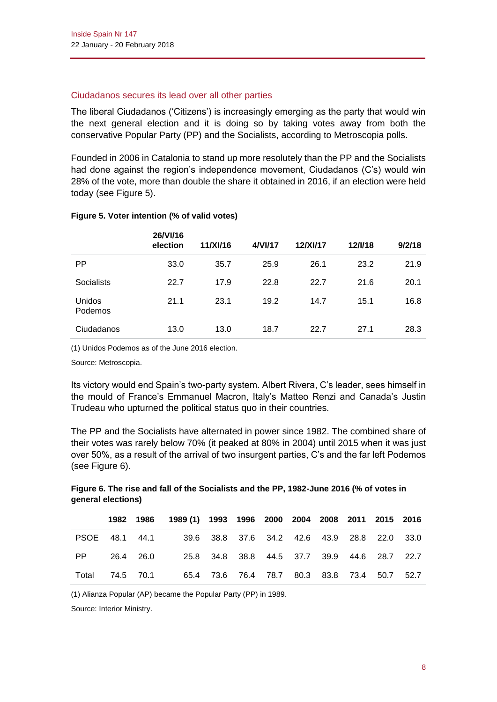### Ciudadanos secures its lead over all other parties

The liberal Ciudadanos ('Citizens') is increasingly emerging as the party that would win the next general election and it is doing so by taking votes away from both the conservative Popular Party (PP) and the Socialists, according to Metroscopia polls.

Founded in 2006 in Catalonia to stand up more resolutely than the PP and the Socialists had done against the region's independence movement, Ciudadanos (C's) would win 28% of the vote, more than double the share it obtained in 2016, if an election were held today (see Figure 5).

|                   | 26/VI/16<br>election | 11/XI/16 | 4/VI/17 | 12/XI/17 | 12/1/18 | 9/2/18 |
|-------------------|----------------------|----------|---------|----------|---------|--------|
| <b>PP</b>         | 33.0                 | 35.7     | 25.9    | 26.1     | 23.2    | 21.9   |
| <b>Socialists</b> | 22.7                 | 17.9     | 22.8    | 22.7     | 21.6    | 20.1   |
| Unidos<br>Podemos | 21.1                 | 23.1     | 19.2    | 14.7     | 15.1    | 16.8   |
| Ciudadanos        | 13.0                 | 13.0     | 18.7    | 22.7     | 27.1    | 28.3   |

### **Figure 5. Voter intention (% of valid votes)**

(1) Unidos Podemos as of the June 2016 election.

Source: Metroscopia.

Its victory would end Spain's two-party system. Albert Rivera, C's leader, sees himself in the mould of France's Emmanuel Macron, Italy's Matteo Renzi and Canada's Justin Trudeau who upturned the political status quo in their countries.

The PP and the Socialists have alternated in power since 1982. The combined share of their votes was rarely below 70% (it peaked at 80% in 2004) until 2015 when it was just over 50%, as a result of the arrival of two insurgent parties, C's and the far left Podemos (see Figure 6).

### **Figure 6. The rise and fall of the Socialists and the PP, 1982-June 2016 (% of votes in general elections)**

|    |  | 1982 1986 1989 (1) 1993 1996 2000 2004 2008 2011 2015 2016   |  |  |  |  |
|----|--|--------------------------------------------------------------|--|--|--|--|
|    |  | PSOE 48.1 44.1 39.6 38.8 37.6 34.2 42.6 43.9 28.8 22.0 33.0  |  |  |  |  |
| PP |  | 26.4 26.0   25.8 34.8 38.8 44.5 37.7 39.9 44.6 28.7 22.7     |  |  |  |  |
|    |  | Total 74.5 70.1 65.4 73.6 76.4 78.7 80.3 83.8 73.4 50.7 52.7 |  |  |  |  |

(1) Alianza Popular (AP) became the Popular Party (PP) in 1989.

Source: Interior Ministry.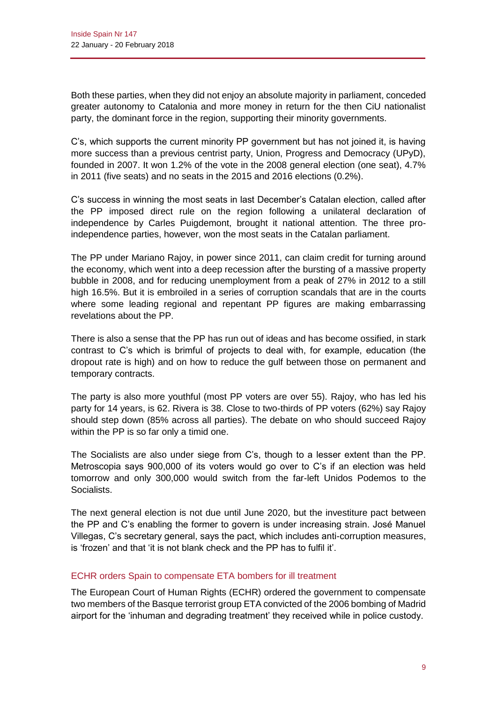Both these parties, when they did not enjoy an absolute majority in parliament, conceded greater autonomy to Catalonia and more money in return for the then CiU nationalist party, the dominant force in the region, supporting their minority governments.

C's, which supports the current minority PP government but has not joined it, is having more success than a previous centrist party, Union, Progress and Democracy (UPyD), founded in 2007. It won 1.2% of the vote in the 2008 general election (one seat), 4.7% in 2011 (five seats) and no seats in the 2015 and 2016 elections (0.2%).

C's success in winning the most seats in last December's Catalan election, called after the PP imposed direct rule on the region following a unilateral declaration of independence by Carles Puigdemont, brought it national attention. The three proindependence parties, however, won the most seats in the Catalan parliament.

The PP under Mariano Rajoy, in power since 2011, can claim credit for turning around the economy, which went into a deep recession after the bursting of a massive property bubble in 2008, and for reducing unemployment from a peak of 27% in 2012 to a still high 16.5%. But it is embroiled in a series of corruption scandals that are in the courts where some leading regional and repentant PP figures are making embarrassing revelations about the PP.

There is also a sense that the PP has run out of ideas and has become ossified, in stark contrast to C's which is brimful of projects to deal with, for example, education (the dropout rate is high) and on how to reduce the gulf between those on permanent and temporary contracts.

The party is also more youthful (most PP voters are over 55). Rajoy, who has led his party for 14 years, is 62. Rivera is 38. Close to two-thirds of PP voters (62%) say Rajoy should step down (85% across all parties). The debate on who should succeed Rajoy within the PP is so far only a timid one.

The Socialists are also under siege from C's, though to a lesser extent than the PP. Metroscopia says 900,000 of its voters would go over to C's if an election was held tomorrow and only 300,000 would switch from the far-left Unidos Podemos to the Socialists.

The next general election is not due until June 2020, but the investiture pact between the PP and C's enabling the former to govern is under increasing strain. José Manuel Villegas, C's secretary general, says the pact, which includes anti-corruption measures, is 'frozen' and that 'it is not blank check and the PP has to fulfil it'.

## ECHR orders Spain to compensate ETA bombers for ill treatment

The European Court of Human Rights (ECHR) ordered the government to compensate two members of the Basque terrorist group ETA convicted of the 2006 bombing of Madrid airport for the 'inhuman and degrading treatment' they received while in police custody.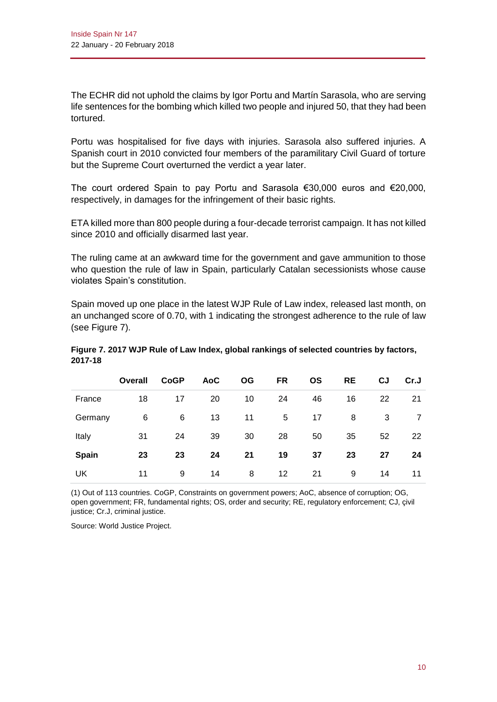The ECHR did not uphold the claims by Igor Portu and Martín Sarasola, who are serving life sentences for the bombing which killed two people and injured 50, that they had been tortured.

Portu was hospitalised for five days with injuries. Sarasola also suffered injuries. A Spanish court in 2010 convicted four members of the paramilitary Civil Guard of torture but the Supreme Court overturned the verdict a year later.

The court ordered Spain to pay Portu and Sarasola €30,000 euros and €20,000, respectively, in damages for the infringement of their basic rights.

ETA killed more than 800 people during a four-decade terrorist campaign. It has not killed since 2010 and officially disarmed last year.

The ruling came at an awkward time for the government and gave ammunition to those who question the rule of law in Spain, particularly Catalan secessionists whose cause violates Spain's constitution.

Spain moved up one place in the latest WJP Rule of Law index, released last month, on an unchanged score of 0.70, with 1 indicating the strongest adherence to the rule of law (see Figure 7).

|         | Figure 7. 2017 WJP Rule of Law Index, global rankings of selected countries by factors, |  |
|---------|-----------------------------------------------------------------------------------------|--|
| 2017-18 |                                                                                         |  |

|         | <b>Overall</b> | <b>CoGP</b> | <b>AoC</b> | <b>OG</b> | <b>FR</b> | <b>OS</b> | <b>RE</b> | CJ | Cr.J |
|---------|----------------|-------------|------------|-----------|-----------|-----------|-----------|----|------|
| France  | 18             | 17          | 20         | 10        | 24        | 46        | 16        | 22 | 21   |
| Germany | 6              | 6           | 13         | 11        | 5         | 17        | 8         | 3  |      |
| Italy   | 31             | 24          | 39         | 30        | 28        | 50        | 35        | 52 | 22   |
| Spain   | 23             | 23          | 24         | 21        | 19        | 37        | 23        | 27 | 24   |
| UK      | 11             | 9           | 14         | 8         | 12        | 21        | 9         | 14 | 11   |

(1) Out of 113 countries. CoGP, Constraints on government powers; AoC, absence of corruption; OG, open government; FR, fundamental rights; OS, order and security; RE, regulatory enforcement; CJ, çivil justice; Cr.J, criminal justice.

Source: World Justice Project.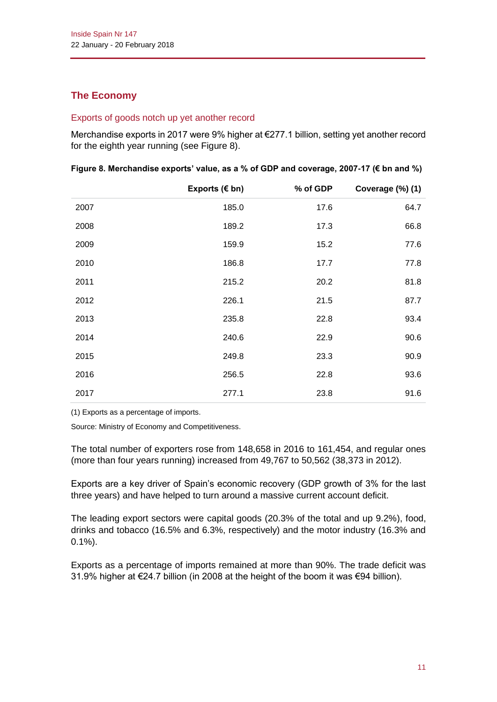# **The Economy**

### Exports of goods notch up yet another record

Merchandise exports in 2017 were 9% higher at €277.1 billion, setting yet another record for the eighth year running (see Figure 8).

|      | Exports $(\epsilon$ bn) | % of GDP | Coverage (%) (1) |
|------|-------------------------|----------|------------------|
| 2007 | 185.0                   | 17.6     | 64.7             |
| 2008 | 189.2                   | 17.3     | 66.8             |
| 2009 | 159.9                   | 15.2     | 77.6             |
| 2010 | 186.8                   | 17.7     | 77.8             |
| 2011 | 215.2                   | 20.2     | 81.8             |
| 2012 | 226.1                   | 21.5     | 87.7             |
| 2013 | 235.8                   | 22.8     | 93.4             |
| 2014 | 240.6                   | 22.9     | 90.6             |
| 2015 | 249.8                   | 23.3     | 90.9             |
| 2016 | 256.5                   | 22.8     | 93.6             |
| 2017 | 277.1                   | 23.8     | 91.6             |

|  |  | Figure 8. Merchandise exports' value, as a % of GDP and coverage, 2007-17 ( $\epsilon$ bn and %) |
|--|--|--------------------------------------------------------------------------------------------------|
|--|--|--------------------------------------------------------------------------------------------------|

(1) Exports as a percentage of imports.

Source: Ministry of Economy and Competitiveness.

The total number of exporters rose from 148,658 in 2016 to 161,454, and regular ones (more than four years running) increased from 49,767 to 50,562 (38,373 in 2012).

Exports are a key driver of Spain's economic recovery (GDP growth of 3% for the last three years) and have helped to turn around a massive current account deficit.

The leading export sectors were capital goods (20.3% of the total and up 9.2%), food, drinks and tobacco (16.5% and 6.3%, respectively) and the motor industry (16.3% and 0.1%).

Exports as a percentage of imports remained at more than 90%. The trade deficit was 31.9% higher at €24.7 billion (in 2008 at the height of the boom it was €94 billion).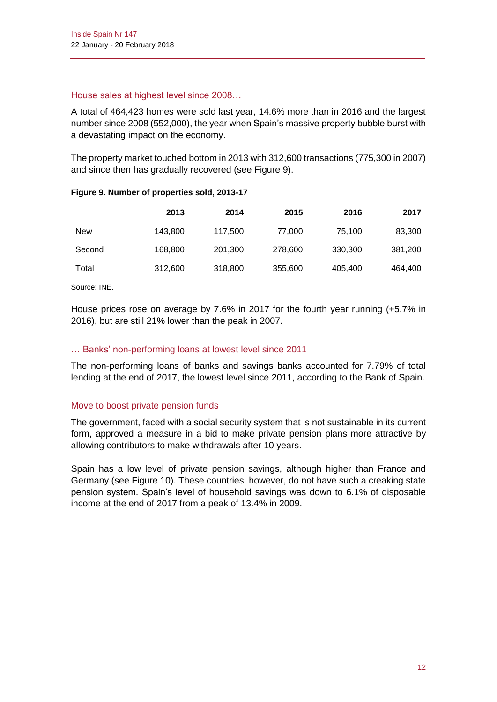### House sales at highest level since 2008…

A total of 464,423 homes were sold last year, 14.6% more than in 2016 and the largest number since 2008 (552,000), the year when Spain's massive property bubble burst with a devastating impact on the economy.

The property market touched bottom in 2013 with 312,600 transactions (775,300 in 2007) and since then has gradually recovered (see Figure 9).

|        | 2013    | 2014    | 2015    | 2016    | 2017    |
|--------|---------|---------|---------|---------|---------|
| New    | 143,800 | 117,500 | 77,000  | 75,100  | 83,300  |
| Second | 168,800 | 201,300 | 278,600 | 330,300 | 381,200 |
| Total  | 312,600 | 318,800 | 355,600 | 405,400 | 464,400 |

### **Figure 9. Number of properties sold, 2013-17**

Source: INE.

House prices rose on average by 7.6% in 2017 for the fourth year running (+5.7% in 2016), but are still 21% lower than the peak in 2007.

### … Banks' non-performing loans at lowest level since 2011

The non-performing loans of banks and savings banks accounted for 7.79% of total lending at the end of 2017, the lowest level since 2011, according to the Bank of Spain.

### Move to boost private pension funds

The government, faced with a social security system that is not sustainable in its current form, approved a measure in a bid to make private pension plans more attractive by allowing contributors to make withdrawals after 10 years.

Spain has a low level of private pension savings, although higher than France and Germany (see Figure 10). These countries, however, do not have such a creaking state pension system. Spain's level of household savings was down to 6.1% of disposable income at the end of 2017 from a peak of 13.4% in 2009.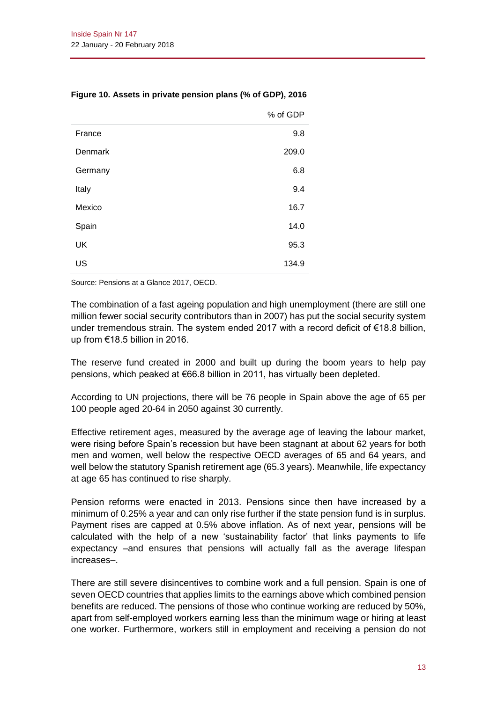|         | % of GDP |
|---------|----------|
| France  | 9.8      |
| Denmark | 209.0    |
| Germany | 6.8      |
| Italy   | 9.4      |
| Mexico  | 16.7     |
| Spain   | 14.0     |
| UK      | 95.3     |
| US      | 134.9    |

### **Figure 10. Assets in private pension plans (% of GDP), 2016**

Source: Pensions at a Glance 2017, OECD.

The combination of a fast ageing population and high unemployment (there are still one million fewer social security contributors than in 2007) has put the social security system under tremendous strain. The system ended 2017 with a record deficit of €18.8 billion, up from €18.5 billion in 2016.

The reserve fund created in 2000 and built up during the boom years to help pay pensions, which peaked at €66.8 billion in 2011, has virtually been depleted.

According to UN projections, there will be 76 people in Spain above the age of 65 per 100 people aged 20-64 in 2050 against 30 currently.

Effective retirement ages, measured by the average age of leaving the labour market, were rising before Spain's recession but have been stagnant at about 62 years for both men and women, well below the respective OECD averages of 65 and 64 years, and well below the statutory Spanish retirement age (65.3 years). Meanwhile, life expectancy at age 65 has continued to rise sharply.

Pension reforms were enacted in 2013. Pensions since then have increased by a minimum of 0.25% a year and can only rise further if the state pension fund is in surplus. Payment rises are capped at 0.5% above inflation. As of next year, pensions will be calculated with the help of a new 'sustainability factor' that links payments to life expectancy –and ensures that pensions will actually fall as the average lifespan increases–.

There are still severe disincentives to combine work and a full pension. Spain is one of seven OECD countries that applies limits to the earnings above which combined pension benefits are reduced. The pensions of those who continue working are reduced by 50%, apart from self-employed workers earning less than the minimum wage or hiring at least one worker. Furthermore, workers still in employment and receiving a pension do not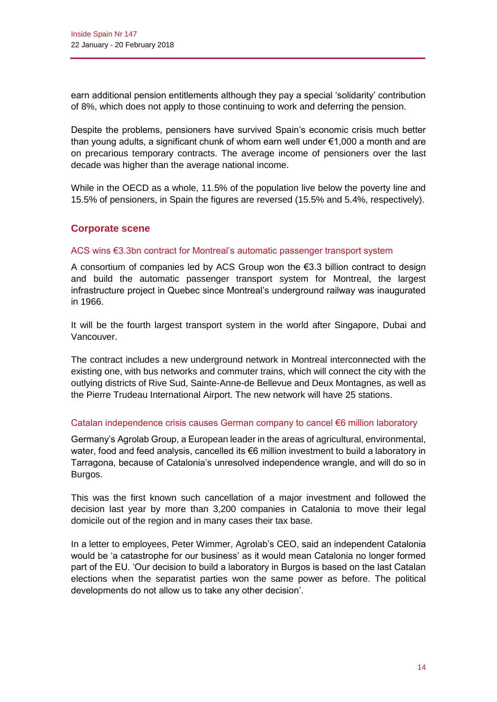earn additional pension entitlements although they pay a special 'solidarity' contribution of 8%, which does not apply to those continuing to work and deferring the pension.

Despite the problems, pensioners have survived Spain's economic crisis much better than young adults, a significant chunk of whom earn well under €1,000 a month and are on precarious temporary contracts. The average income of pensioners over the last decade was higher than the average national income.

While in the OECD as a whole, 11.5% of the population live below the poverty line and 15.5% of pensioners, in Spain the figures are reversed (15.5% and 5.4%, respectively).

### **Corporate scene**

### ACS wins €3.3bn contract for Montreal's automatic passenger transport system

A consortium of companies led by ACS Group won the  $\epsilon$ 3.3 billion contract to design and build the automatic passenger transport system for Montreal, the largest infrastructure project in Quebec since Montreal's underground railway was inaugurated in 1966.

It will be the fourth largest transport system in the world after Singapore, Dubai and Vancouver.

The contract includes a new underground network in Montreal interconnected with the existing one, with bus networks and commuter trains, which will connect the city with the outlying districts of Rive Sud, Sainte-Anne-de Bellevue and Deux Montagnes, as well as the Pierre Trudeau International Airport. The new network will have 25 stations.

#### Catalan independence crisis causes German company to cancel €6 million laboratory

Germany's Agrolab Group, a European leader in the areas of agricultural, environmental, water, food and feed analysis, cancelled its €6 million investment to build a laboratory in Tarragona, because of Catalonia's unresolved independence wrangle, and will do so in Burgos.

This was the first known such cancellation of a major investment and followed the decision last year by more than 3,200 companies in Catalonia to move their legal domicile out of the region and in many cases their tax base.

In a letter to employees, Peter Wimmer, Agrolab's CEO, said an independent Catalonia would be 'a catastrophe for our business' as it would mean Catalonia no longer formed part of the EU. 'Our decision to build a laboratory in Burgos is based on the last Catalan elections when the separatist parties won the same power as before. The political developments do not allow us to take any other decision'.